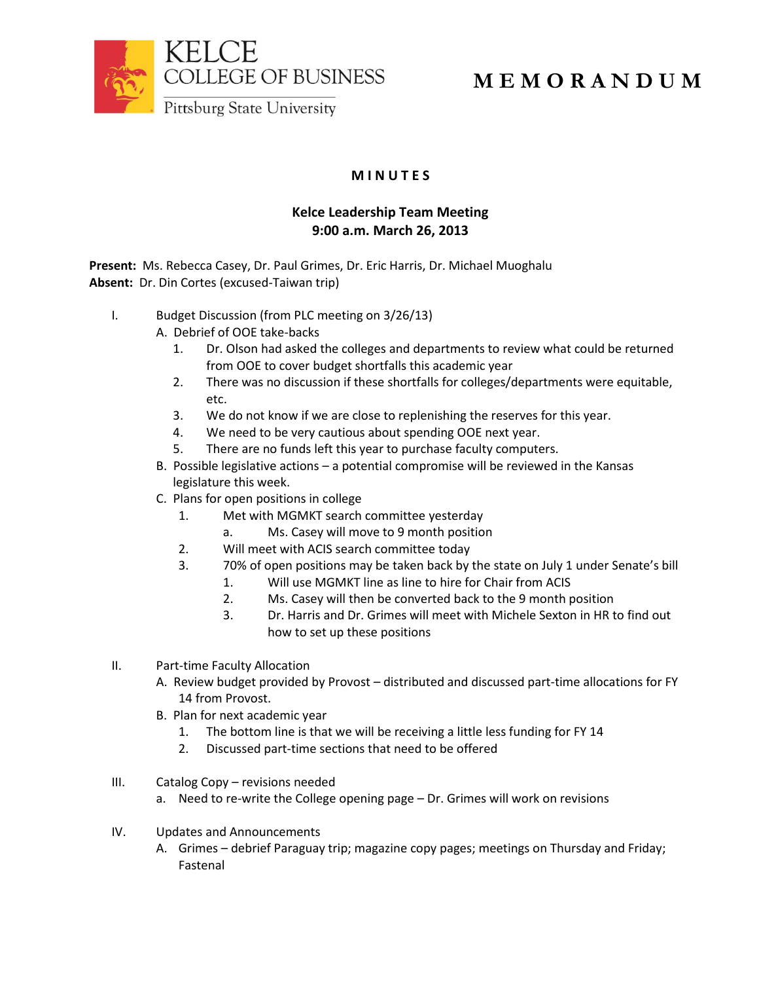

## **M E M O R A N D U M**

**M I N U T E S**

## **Kelce Leadership Team Meeting 9:00 a.m. March 26, 2013**

**Present:** Ms. Rebecca Casey, Dr. Paul Grimes, Dr. Eric Harris, Dr. Michael Muoghalu **Absent:** Dr. Din Cortes (excused-Taiwan trip)

- I. Budget Discussion (from PLC meeting on 3/26/13)
	- A. Debrief of OOE take-backs
		- 1. Dr. Olson had asked the colleges and departments to review what could be returned from OOE to cover budget shortfalls this academic year
		- 2. There was no discussion if these shortfalls for colleges/departments were equitable, etc.
		- 3. We do not know if we are close to replenishing the reserves for this year.
		- 4. We need to be very cautious about spending OOE next year.
		- 5. There are no funds left this year to purchase faculty computers.
	- B. Possible legislative actions a potential compromise will be reviewed in the Kansas legislature this week.
	- C. Plans for open positions in college
		- 1. Met with MGMKT search committee yesterday
			- a. Ms. Casey will move to 9 month position
		- 2. Will meet with ACIS search committee today
		- 3. 70% of open positions may be taken back by the state on July 1 under Senate's bill
			- 1. Will use MGMKT line as line to hire for Chair from ACIS
			- 2. Ms. Casey will then be converted back to the 9 month position
			- 3. Dr. Harris and Dr. Grimes will meet with Michele Sexton in HR to find out how to set up these positions
- II. Part-time Faculty Allocation
	- A. Review budget provided by Provost distributed and discussed part-time allocations for FY 14 from Provost.
	- B. Plan for next academic year
		- 1. The bottom line is that we will be receiving a little less funding for FY 14
		- 2. Discussed part-time sections that need to be offered
- III. Catalog Copy revisions needed
	- a. Need to re-write the College opening page Dr. Grimes will work on revisions
- IV. Updates and Announcements
	- A. Grimes debrief Paraguay trip; magazine copy pages; meetings on Thursday and Friday; Fastenal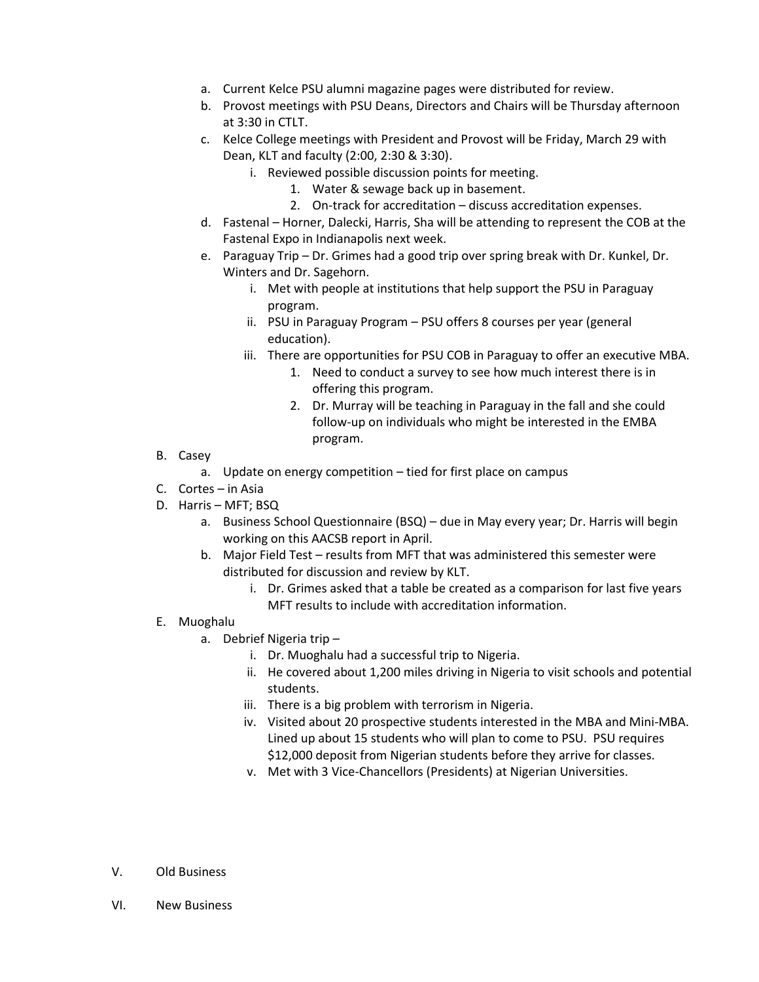- a. Current Kelce PSU alumni magazine pages were distributed for review.
- b. Provost meetings with PSU Deans, Directors and Chairs will be Thursday afternoon at 3:30 in CTLT.
- c. Kelce College meetings with President and Provost will be Friday, March 29 with Dean, KLT and faculty (2:00, 2:30 & 3:30).
	- i. Reviewed possible discussion points for meeting.
		- 1. Water & sewage back up in basement.
		- 2. On-track for accreditation discuss accreditation expenses.
- d. Fastenal Horner, Dalecki, Harris, Sha will be attending to represent the COB at the Fastenal Expo in Indianapolis next week.
- e. Paraguay Trip Dr. Grimes had a good trip over spring break with Dr. Kunkel, Dr. Winters and Dr. Sagehorn.
	- i. Met with people at institutions that help support the PSU in Paraguay program.
	- ii. PSU in Paraguay Program PSU offers 8 courses per year (general education).
	- iii. There are opportunities for PSU COB in Paraguay to offer an executive MBA.
		- 1. Need to conduct a survey to see how much interest there is in offering this program.
		- 2. Dr. Murray will be teaching in Paraguay in the fall and she could follow-up on individuals who might be interested in the EMBA program.
- B. Casey
	- a. Update on energy competition tied for first place on campus
- C. Cortes in Asia
- D. Harris MFT; BSQ
	- a. Business School Questionnaire (BSQ) due in May every year; Dr. Harris will begin working on this AACSB report in April.
	- b. Major Field Test results from MFT that was administered this semester were distributed for discussion and review by KLT.
		- i. Dr. Grimes asked that a table be created as a comparison for last five years MFT results to include with accreditation information.
- E. Muoghalu
	- a. Debrief Nigeria trip
		- i. Dr. Muoghalu had a successful trip to Nigeria.
		- ii. He covered about 1,200 miles driving in Nigeria to visit schools and potential students.
		- iii. There is a big problem with terrorism in Nigeria.
		- iv. Visited about 20 prospective students interested in the MBA and Mini-MBA. Lined up about 15 students who will plan to come to PSU. PSU requires \$12,000 deposit from Nigerian students before they arrive for classes.
		- v. Met with 3 Vice-Chancellors (Presidents) at Nigerian Universities.
- V. Old Business
- VI. New Business